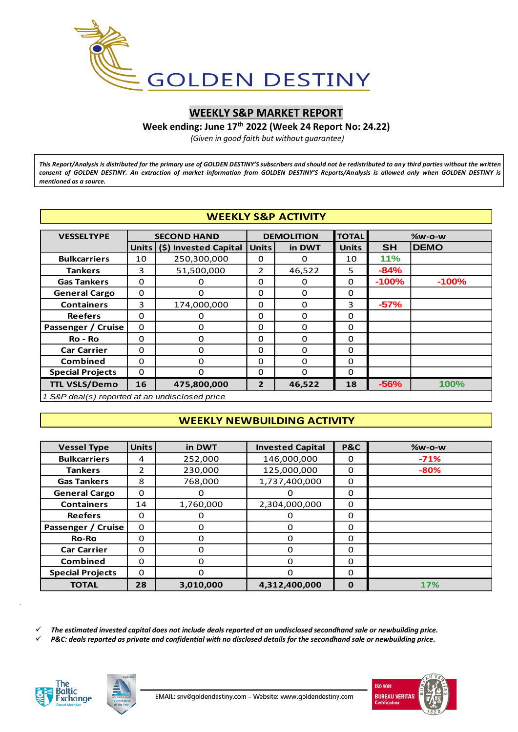

# **WEEKLY S&P MARKET REPORT**

**Week ending: June 17 th 2022 (Week 24 Report No: 24.22)**

*(Given in good faith but without guarantee)*

*This Report/Analysis is distributed for the primary use of GOLDEN DESTINY'S subscribers and should not be redistributed to any third parties without the written consent of GOLDEN DESTINY. An extraction of market information from GOLDEN DESTINY'S Reports/Analysis is allowed only when GOLDEN DESTINY is mentioned as a source.*

|                                                | <b>WEEKLY S&amp;P ACTIVITY</b> |                       |                |                   |              |           |             |  |  |  |  |  |
|------------------------------------------------|--------------------------------|-----------------------|----------------|-------------------|--------------|-----------|-------------|--|--|--|--|--|
| <b>VESSELTYPE</b>                              |                                | <b>SECOND HAND</b>    |                | <b>DEMOLITION</b> | <b>TOTAL</b> |           | $%w-O-W$    |  |  |  |  |  |
|                                                | Units                          | (\$) Invested Capital | <b>Units</b>   | in DWT            | <b>Units</b> | <b>SH</b> | <b>DEMO</b> |  |  |  |  |  |
| <b>Bulkcarriers</b>                            | 10                             | 250,300,000           | 0              | 0                 | 10           | 11%       |             |  |  |  |  |  |
| <b>Tankers</b>                                 | 3                              | 51,500,000            | 2              | 46,522            | 5            | $-84%$    |             |  |  |  |  |  |
| <b>Gas Tankers</b>                             | $\Omega$                       | 0                     | 0              | 0                 | $\Omega$     | $-100%$   | $-100%$     |  |  |  |  |  |
| <b>General Cargo</b>                           | $\Omega$                       | 0                     | 0              | 0                 | $\Omega$     |           |             |  |  |  |  |  |
| <b>Containers</b>                              | 3                              | 174,000,000           | 0              | 0                 | 3            | $-57%$    |             |  |  |  |  |  |
| <b>Reefers</b>                                 | $\Omega$                       | 0                     | 0              | 0                 | $\Omega$     |           |             |  |  |  |  |  |
| Passenger / Cruise                             | $\Omega$                       | 0                     | 0              | $\Omega$          | $\Omega$     |           |             |  |  |  |  |  |
| Ro - Ro                                        | 0                              | 0                     | 0              | 0                 | $\Omega$     |           |             |  |  |  |  |  |
| <b>Car Carrier</b>                             | 0                              | 0                     | 0              | 0                 | 0            |           |             |  |  |  |  |  |
| <b>Combined</b>                                | $\Omega$                       | 0                     | 0              | $\Omega$          | $\Omega$     |           |             |  |  |  |  |  |
| <b>Special Projects</b>                        | 0                              | 0                     | 0              | $\Omega$          | $\Omega$     |           |             |  |  |  |  |  |
| <b>TTL VSLS/Demo</b>                           | 16                             | 475,800,000           | $\overline{2}$ | 46,522            | 18           | $-56%$    | 100%        |  |  |  |  |  |
| 1 S&P deal(s) reported at an undisclosed price |                                |                       |                |                   |              |           |             |  |  |  |  |  |

#### *1 S&P deal(s) reported at an undisclosed price*

# **WEEKLY NEWBUILDING ACTIVITY**

| <b>Vessel Type</b>      | <b>Units</b>   | in DWT    | <b>Invested Capital</b> | <b>P&amp;C</b> | <b>%w-o-w</b> |
|-------------------------|----------------|-----------|-------------------------|----------------|---------------|
| <b>Bulkcarriers</b>     | 4              | 252,000   | 146,000,000             | O              | $-71%$        |
| <b>Tankers</b>          | $\overline{2}$ | 230,000   | 125,000,000<br>0        |                | $-80%$        |
| <b>Gas Tankers</b>      | 8              | 768,000   | 1,737,400,000<br>0      |                |               |
| <b>General Cargo</b>    | $\Omega$       | 0         |                         | 0              |               |
| <b>Containers</b>       | 14             | 1,760,000 | 2,304,000,000           | 0              |               |
| <b>Reefers</b>          | $\Omega$       | 0         |                         | 0              |               |
| Passenger / Cruise      | 0              | 0         |                         | 0              |               |
| <b>Ro-Ro</b>            | 0              | 0         | O                       | 0              |               |
| <b>Car Carrier</b>      | 0              | O         | $\Omega$                | 0              |               |
| <b>Combined</b>         | $\Omega$       |           | ∩                       | $\Omega$       |               |
| <b>Special Projects</b> | $\Omega$<br>0  |           | ∩                       | $\Omega$       |               |
| <b>TOTAL</b>            | 28             | 3,010,000 | 4.312.400.000           | 0              | 17%           |

✓ *The estimated invested capital does not include deals reported at an undisclosed secondhand sale or newbuilding price.*

✓ *P&C: deals reported as private and confidential with no disclosed details for the secondhand sale or newbuilding price.*



*.*



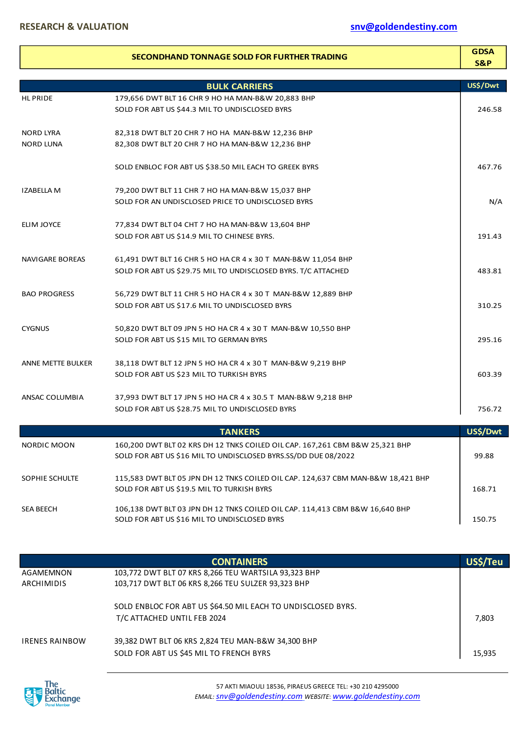|                                | SECONDHAND TONNAGE SOLD FOR FURTHER TRADING                                                                                                    | <b>GDSA</b><br><b>S&amp;P</b> |
|--------------------------------|------------------------------------------------------------------------------------------------------------------------------------------------|-------------------------------|
|                                | <b>BULK CARRIERS</b>                                                                                                                           | US\$/Dwt                      |
| <b>HL PRIDE</b>                | 179,656 DWT BLT 16 CHR 9 HO HA MAN-B&W 20,883 BHP                                                                                              |                               |
|                                | SOLD FOR ABT US \$44.3 MIL TO UNDISCLOSED BYRS                                                                                                 | 246.58                        |
| NORD LYRA                      | 82,318 DWT BLT 20 CHR 7 HO HA MAN-B&W 12,236 BHP                                                                                               |                               |
| <b>NORD LUNA</b>               | 82,308 DWT BLT 20 CHR 7 HO HA MAN-B&W 12,236 BHP                                                                                               |                               |
|                                | SOLD ENBLOC FOR ABT US \$38.50 MIL EACH TO GREEK BYRS                                                                                          | 467.76                        |
| IZABELLA M                     | 79,200 DWT BLT 11 CHR 7 HO HA MAN-B&W 15,037 BHP                                                                                               |                               |
|                                | SOLD FOR AN UNDISCLOSED PRICE TO UNDISCLOSED BYRS                                                                                              | N/A                           |
| ELIM JOYCE                     | 77,834 DWT BLT 04 CHT 7 HO HA MAN-B&W 13,604 BHP                                                                                               |                               |
|                                | SOLD FOR ABT US \$14.9 MIL TO CHINESE BYRS.                                                                                                    | 191.43                        |
| NAVIGARE BOREAS                | 61,491 DWT BLT 16 CHR 5 HO HA CR 4 x 30 T MAN-B&W 11,054 BHP                                                                                   |                               |
|                                | SOLD FOR ABT US \$29.75 MIL TO UNDISCLOSED BYRS. T/C ATTACHED                                                                                  | 483.81                        |
| <b>BAO PROGRESS</b>            | 56,729 DWT BLT 11 CHR 5 HO HA CR 4 x 30 T MAN-B&W 12,889 BHP                                                                                   |                               |
|                                | SOLD FOR ABT US \$17.6 MIL TO UNDISCLOSED BYRS                                                                                                 | 310.25                        |
| <b>CYGNUS</b>                  | 50,820 DWT BLT 09 JPN 5 HO HA CR 4 x 30 T MAN-B&W 10,550 BHP                                                                                   |                               |
|                                | SOLD FOR ABT US \$15 MIL TO GERMAN BYRS                                                                                                        | 295.16                        |
| <b>ANNE METTE BULKER</b>       | 38,118 DWT BLT 12 JPN 5 HO HA CR 4 x 30 T MAN-B&W 9,219 BHP                                                                                    |                               |
|                                | SOLD FOR ABT US \$23 MIL TO TURKISH BYRS                                                                                                       | 603.39                        |
| ANSAC COLUMBIA                 | 37,993 DWT BLT 17 JPN 5 HO HA CR 4 x 30.5 T MAN-B&W 9,218 BHP                                                                                  |                               |
|                                | SOLD FOR ABT US \$28.75 MIL TO UNDISCLOSED BYRS                                                                                                | 756.72                        |
|                                | <b>TANKERS</b>                                                                                                                                 | US\$/Dwt                      |
| NORDIC MOON                    | 160,200 DWT BLT 02 KRS DH 12 TNKS COILED OIL CAP. 167,261 CBM B&W 25,321 BHP<br>SOLD FOR ABT US \$16 MIL TO UNDISCLOSED BYRS.SS/DD DUE 08/2022 | 99.88                         |
| <b>SOPHIE SCHULTE</b>          | 115,583 DWT BLT 05 JPN DH 12 TNKS COILED OIL CAP. 124,637 CBM MAN-B&W 18,421 BHP                                                               |                               |
|                                | SOLD FOR ABT US \$19.5 MIL TO TURKISH BYRS                                                                                                     | 168.71                        |
| <b>SEA BEECH</b>               | 106,138 DWT BLT 03 JPN DH 12 TNKS COILED OIL CAP. 114,413 CBM B&W 16,640 BHP<br>SOLD FOR ABT US \$16 MIL TO UNDISCLOSED BYRS                   | 150.75                        |
|                                |                                                                                                                                                |                               |
|                                | <b>CONTAINERS</b>                                                                                                                              | US\$/Teu                      |
| AGAMEMNON<br><b>ARCHIMIDIS</b> | 103,772 DWT BLT 07 KRS 8,266 TEU WARTSILA 93,323 BHP<br>103,717 DWT BLT 06 KRS 8,266 TEU SULZER 93,323 BHP                                     |                               |
|                                | SOLD ENBLOC FOR ABT US \$64.50 MIL EACH TO UNDISCLOSED BYRS.                                                                                   |                               |
|                                | T/C ATTACHED UNTIL FEB 2024                                                                                                                    | 7,803                         |
| <b>IRENES RAINBOW</b>          | 39,382 DWT BLT 06 KRS 2,824 TEU MAN-B&W 34,300 BHP                                                                                             |                               |
|                                | SOLD FOR ABT US \$45 MIL TO FRENCH BYRS                                                                                                        | 15,935                        |

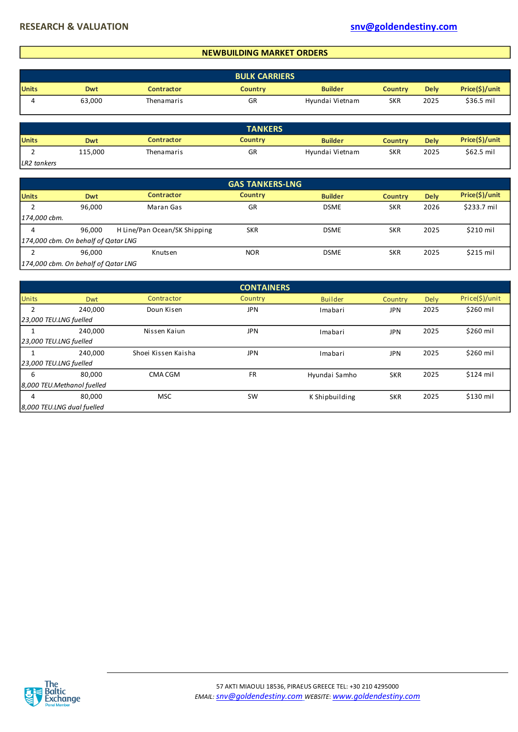# **NEWBUILDING MARKET ORDERS**

|              | <b>BULK CARRIERS</b> |            |                |                 |                |             |                |  |  |  |
|--------------|----------------------|------------|----------------|-----------------|----------------|-------------|----------------|--|--|--|
| <b>Units</b> | <b>Dwt</b>           | Contractor | <b>Country</b> | <b>Builder</b>  | <b>Country</b> | <b>Delv</b> | Price(\$)/unit |  |  |  |
|              | 63,000               | Thenamaris | GR             | Hyundai Vietnam | <b>SKR</b>     | 2025        | \$36.5 mil     |  |  |  |

|              | <b>TANKERS</b> |                   |                |                 |                |             |                |  |  |  |
|--------------|----------------|-------------------|----------------|-----------------|----------------|-------------|----------------|--|--|--|
| <b>Units</b> | Dwt            | <b>Contractor</b> | <b>Country</b> | <b>Builder</b>  | <b>Country</b> | <b>Dely</b> | Price(\$)/unit |  |  |  |
|              | 115,000        | Thenamaris        | GR             | Hyundai Vietnam | <b>SKR</b>     | 2025        | $$62.5$ mil    |  |  |  |
| LR2 tankers  |                |                   |                |                 |                |             |                |  |  |  |

| LR2 tankers |
|-------------|
|             |

|                                     |                                     |                              | <b>GAS TANKERS-LNG</b> |                |                |             |                |  |  |  |
|-------------------------------------|-------------------------------------|------------------------------|------------------------|----------------|----------------|-------------|----------------|--|--|--|
| <b>Units</b>                        | Dwt                                 | <b>Contractor</b>            | <b>Country</b>         | <b>Builder</b> | <b>Country</b> | <b>Dely</b> | Price(\$)/unit |  |  |  |
|                                     | 96,000                              | Maran Gas                    | GR                     | <b>DSME</b>    | <b>SKR</b>     | 2026        | \$233.7 mil    |  |  |  |
| 174,000 cbm.                        |                                     |                              |                        |                |                |             |                |  |  |  |
| 4                                   | 96,000                              | H Line/Pan Ocean/SK Shipping | <b>SKR</b>             | <b>DSME</b>    | <b>SKR</b>     | 2025        | \$210 mil      |  |  |  |
| 174,000 cbm. On behalf of Qatar LNG |                                     |                              |                        |                |                |             |                |  |  |  |
| ∍                                   | 96,000                              | Knutsen                      | <b>NOR</b>             | <b>DSME</b>    | <b>SKR</b>     | 2025        | \$215 mil      |  |  |  |
|                                     | 174,000 cbm. On behalf of Qatar LNG |                              |                        |                |                |             |                |  |  |  |

|              |                            |                     | <b>CONTAINERS</b> |                |            |      |                |
|--------------|----------------------------|---------------------|-------------------|----------------|------------|------|----------------|
| <b>Units</b> | <b>Dwt</b>                 | Contractor          | Country           | <b>Builder</b> | Country    | Dely | Price(\$)/unit |
| 2            | 240,000                    | Doun Kisen          | <b>JPN</b>        | Imabari        | JPN        | 2025 | \$260 mil      |
|              | 23,000 TEU.LNG fuelled     |                     |                   |                |            |      |                |
|              | 240,000                    | Nissen Kaiun        | <b>JPN</b>        | Imabari        | <b>JPN</b> | 2025 | \$260 mil      |
|              | 23,000 TEU.LNG fuelled     |                     |                   |                |            |      |                |
|              | 240.000                    | Shoei Kissen Kaisha | <b>JPN</b>        | Imabari        | <b>JPN</b> | 2025 | \$260 mil      |
|              | 23,000 TEU.LNG fuelled     |                     |                   |                |            |      |                |
| 6            | 80.000                     | CMA CGM             | <b>FR</b>         | Hyundai Samho  | <b>SKR</b> | 2025 | \$124 mil      |
|              | 8,000 TEU.Methanol fuelled |                     |                   |                |            |      |                |
| 4            | 80,000                     | <b>MSC</b>          | SW                | K Shipbuilding | <b>SKR</b> | 2025 | \$130 mil      |
|              | 8,000 TEU.LNG dual fuelled |                     |                   |                |            |      |                |

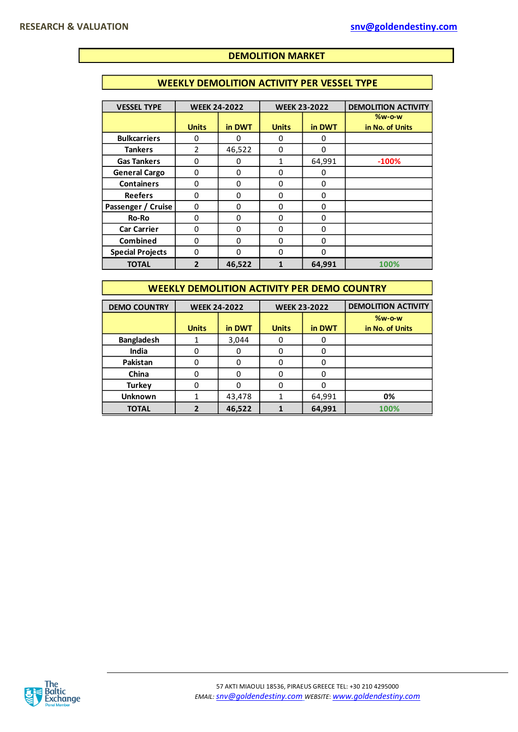### **DEMOLITION MARKET**

# **WEEKLY DEMOLITION ACTIVITY PER VESSEL TYPE**

| <b>VESSEL TYPE</b>      | <b>WEEK 24-2022</b> |          | <b>WEEK 23-2022</b> |             | <b>DEMOLITION ACTIVITY</b> |
|-------------------------|---------------------|----------|---------------------|-------------|----------------------------|
|                         |                     |          |                     |             | <b>%w-o-w</b>              |
|                         | <b>Units</b>        | in DWT   | <b>Units</b>        | in DWT      | in No. of Units            |
| <b>Bulkcarriers</b>     | 0                   | 0        | 0                   | 0           |                            |
| <b>Tankers</b>          | $\mathfrak{p}$      | 46,522   | 0                   | O           |                            |
| <b>Gas Tankers</b>      | 0                   | 0        | 1                   | 64,991      | $-100%$                    |
| <b>General Cargo</b>    | 0                   | $\Omega$ | 0                   | 0           |                            |
| <b>Containers</b>       | 0                   | 0        | 0                   | 0           |                            |
| <b>Reefers</b>          | 0                   | 0        | 0                   | 0           |                            |
| Passenger / Cruise      | 0                   | 0        | 0                   | $\mathbf 0$ |                            |
| Ro-Ro                   | 0                   | 0        | 0                   | $\Omega$    |                            |
| <b>Car Carrier</b>      | 0                   | 0        | 0                   | $\Omega$    |                            |
| Combined                | 0                   | 0        | 0                   | $\Omega$    |                            |
| <b>Special Projects</b> | 0                   | $\Omega$ | 0                   | $\Omega$    |                            |
| <b>TOTAL</b>            | $\overline{2}$      | 46,522   | 1                   | 64,991      | 100%                       |

### **WEEKLY DEMOLITION ACTIVITY PER DEMO COUNTRY**

| <b>DEMO COUNTRY</b> | <b>WEEK 24-2022</b> |          | <b>WEEK 23-2022</b> |        | <b>DEMOLITION ACTIVITY</b> |
|---------------------|---------------------|----------|---------------------|--------|----------------------------|
|                     |                     |          |                     |        | $%w-o-w$                   |
|                     | <b>Units</b>        | in DWT   | <b>Units</b>        | in DWT | in No. of Units            |
| <b>Bangladesh</b>   |                     | 3,044    | 0                   | O      |                            |
| India               |                     | 0        | 0                   | 0      |                            |
| Pakistan            |                     | 0        | 0                   | 0      |                            |
| China               |                     | $\Omega$ | 0                   | 0      |                            |
| <b>Turkey</b>       |                     |          | ŋ                   | ი      |                            |
| <b>Unknown</b>      |                     | 43,478   |                     | 64,991 | 0%                         |
| <b>TOTAL</b>        |                     | 46,522   |                     | 64,991 | 100%                       |

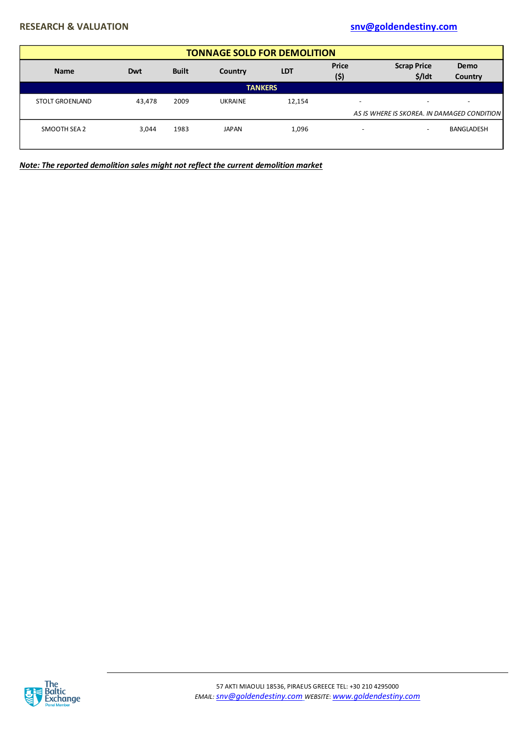# **RESEARCH & VALUATION [snv@goldendestiny.com](mailto:snv@goldendestiny.com)**

| <b>TONNAGE SOLD FOR DEMOLITION</b> |              |                |            |                          |                                |                                             |  |  |  |  |  |
|------------------------------------|--------------|----------------|------------|--------------------------|--------------------------------|---------------------------------------------|--|--|--|--|--|
| Dwt                                | <b>Built</b> | Country        | <b>LDT</b> | <b>Price</b><br>(5)      | <b>Scrap Price</b><br>$$/$ ldt | <b>Demo</b><br>Country                      |  |  |  |  |  |
| <b>TANKERS</b>                     |              |                |            |                          |                                |                                             |  |  |  |  |  |
| 43,478                             | 2009         | <b>UKRAINE</b> | 12,154     | $\overline{\phantom{a}}$ |                                | $\overline{\phantom{a}}$                    |  |  |  |  |  |
|                                    |              |                |            |                          |                                |                                             |  |  |  |  |  |
| 3.044                              | 1983         | <b>JAPAN</b>   | 1,096      | -                        | $\overline{\phantom{a}}$       | <b>BANGLADESH</b>                           |  |  |  |  |  |
|                                    |              |                |            |                          |                                | AS IS WHERE IS SKOREA. IN DAMAGED CONDITION |  |  |  |  |  |

*Note: The reported demolition sales might not reflect the current demolition market*